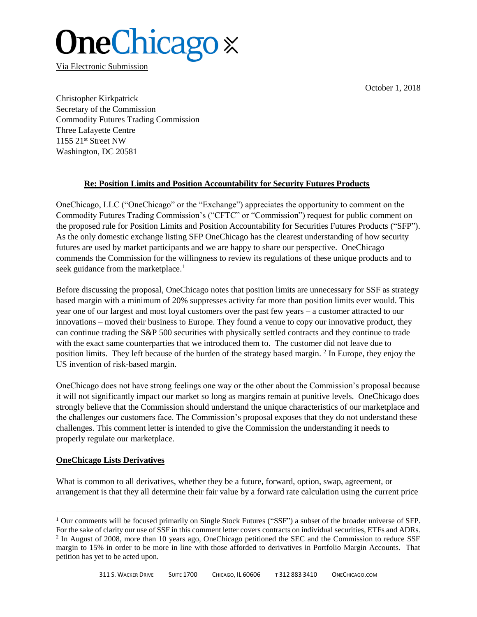October 1, 2018

# **OneChicago** x

Via Electronic Submission

Christopher Kirkpatrick Secretary of the Commission Commodity Futures Trading Commission Three Lafayette Centre 1155 21st Street NW Washington, DC 20581

## **Re: Position Limits and Position Accountability for Security Futures Products**

OneChicago, LLC ("OneChicago" or the "Exchange") appreciates the opportunity to comment on the Commodity Futures Trading Commission's ("CFTC" or "Commission") request for public comment on the proposed rule for Position Limits and Position Accountability for Securities Futures Products ("SFP"). As the only domestic exchange listing SFP OneChicago has the clearest understanding of how security futures are used by market participants and we are happy to share our perspective. OneChicago commends the Commission for the willingness to review its regulations of these unique products and to seek guidance from the marketplace.<sup>1</sup>

Before discussing the proposal, OneChicago notes that position limits are unnecessary for SSF as strategy based margin with a minimum of 20% suppresses activity far more than position limits ever would. This year one of our largest and most loyal customers over the past few years – a customer attracted to our innovations – moved their business to Europe. They found a venue to copy our innovative product, they can continue trading the S&P 500 securities with physically settled contracts and they continue to trade with the exact same counterparties that we introduced them to. The customer did not leave due to position limits. They left because of the burden of the strategy based margin. <sup>2</sup> In Europe, they enjoy the US invention of risk-based margin.

OneChicago does not have strong feelings one way or the other about the Commission's proposal because it will not significantly impact our market so long as margins remain at punitive levels. OneChicago does strongly believe that the Commission should understand the unique characteristics of our marketplace and the challenges our customers face. The Commission's proposal exposes that they do not understand these challenges. This comment letter is intended to give the Commission the understanding it needs to properly regulate our marketplace.

## **OneChicago Lists Derivatives**

l

What is common to all derivatives, whether they be a future, forward, option, swap, agreement, or arrangement is that they all determine their fair value by a forward rate calculation using the current price

<sup>&</sup>lt;sup>1</sup> Our comments will be focused primarily on Single Stock Futures ("SSF") a subset of the broader universe of SFP.

For the sake of clarity our use of SSF in this comment letter covers contracts on individual securities, ETFs and ADRs. <sup>2</sup> In August of 2008, more than 10 years ago, OneChicago petitioned the SEC and the Commission to reduce SSF margin to 15% in order to be more in line with those afforded to derivatives in Portfolio Margin Accounts. That petition has yet to be acted upon.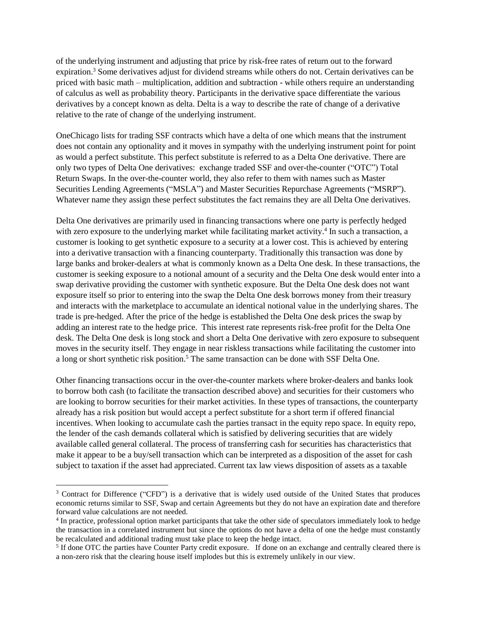of the underlying instrument and adjusting that price by risk-free rates of return out to the forward expiration.<sup>3</sup> Some derivatives adjust for dividend streams while others do not. Certain derivatives can be priced with basic math – multiplication, addition and subtraction - while others require an understanding of calculus as well as probability theory. Participants in the derivative space differentiate the various derivatives by a concept known as delta. Delta is a way to describe the rate of change of a derivative relative to the rate of change of the underlying instrument.

OneChicago lists for trading SSF contracts which have a delta of one which means that the instrument does not contain any optionality and it moves in sympathy with the underlying instrument point for point as would a perfect substitute. This perfect substitute is referred to as a Delta One derivative. There are only two types of Delta One derivatives: exchange traded SSF and over-the-counter ("OTC") Total Return Swaps. In the over-the-counter world, they also refer to them with names such as Master Securities Lending Agreements ("MSLA") and Master Securities Repurchase Agreements ("MSRP"). Whatever name they assign these perfect substitutes the fact remains they are all Delta One derivatives.

Delta One derivatives are primarily used in financing transactions where one party is perfectly hedged with zero exposure to the underlying market while facilitating market activity.<sup>4</sup> In such a transaction, a customer is looking to get synthetic exposure to a security at a lower cost. This is achieved by entering into a derivative transaction with a financing counterparty. Traditionally this transaction was done by large banks and broker-dealers at what is commonly known as a Delta One desk. In these transactions, the customer is seeking exposure to a notional amount of a security and the Delta One desk would enter into a swap derivative providing the customer with synthetic exposure. But the Delta One desk does not want exposure itself so prior to entering into the swap the Delta One desk borrows money from their treasury and interacts with the marketplace to accumulate an identical notional value in the underlying shares. The trade is pre-hedged. After the price of the hedge is established the Delta One desk prices the swap by adding an interest rate to the hedge price. This interest rate represents risk-free profit for the Delta One desk. The Delta One desk is long stock and short a Delta One derivative with zero exposure to subsequent moves in the security itself. They engage in near riskless transactions while facilitating the customer into a long or short synthetic risk position.<sup>5</sup> The same transaction can be done with SSF Delta One.

Other financing transactions occur in the over-the-counter markets where broker-dealers and banks look to borrow both cash (to facilitate the transaction described above) and securities for their customers who are looking to borrow securities for their market activities. In these types of transactions, the counterparty already has a risk position but would accept a perfect substitute for a short term if offered financial incentives. When looking to accumulate cash the parties transact in the equity repo space. In equity repo, the lender of the cash demands collateral which is satisfied by delivering securities that are widely available called general collateral. The process of transferring cash for securities has characteristics that make it appear to be a buy/sell transaction which can be interpreted as a disposition of the asset for cash subject to taxation if the asset had appreciated. Current tax law views disposition of assets as a taxable

 $\overline{a}$ 

<sup>&</sup>lt;sup>3</sup> Contract for Difference ("CFD") is a derivative that is widely used outside of the United States that produces economic returns similar to SSF, Swap and certain Agreements but they do not have an expiration date and therefore forward value calculations are not needed.

<sup>&</sup>lt;sup>4</sup> In practice, professional option market participants that take the other side of speculators immediately look to hedge the transaction in a correlated instrument but since the options do not have a delta of one the hedge must constantly be recalculated and additional trading must take place to keep the hedge intact.

<sup>&</sup>lt;sup>5</sup> If done OTC the parties have Counter Party credit exposure. If done on an exchange and centrally cleared there is a non-zero risk that the clearing house itself implodes but this is extremely unlikely in our view.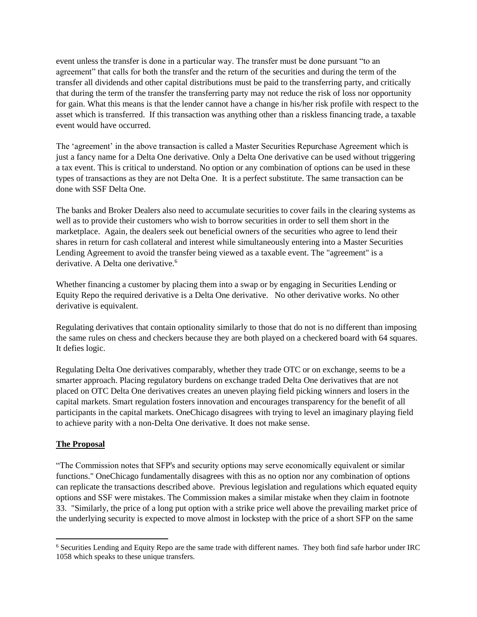event unless the transfer is done in a particular way. The transfer must be done pursuant "to an agreement" that calls for both the transfer and the return of the securities and during the term of the transfer all dividends and other capital distributions must be paid to the transferring party, and critically that during the term of the transfer the transferring party may not reduce the risk of loss nor opportunity for gain. What this means is that the lender cannot have a change in his/her risk profile with respect to the asset which is transferred. If this transaction was anything other than a riskless financing trade, a taxable event would have occurred.

The 'agreement' in the above transaction is called a Master Securities Repurchase Agreement which is just a fancy name for a Delta One derivative. Only a Delta One derivative can be used without triggering a tax event. This is critical to understand. No option or any combination of options can be used in these types of transactions as they are not Delta One. It is a perfect substitute. The same transaction can be done with SSF Delta One.

The banks and Broker Dealers also need to accumulate securities to cover fails in the clearing systems as well as to provide their customers who wish to borrow securities in order to sell them short in the marketplace. Again, the dealers seek out beneficial owners of the securities who agree to lend their shares in return for cash collateral and interest while simultaneously entering into a Master Securities Lending Agreement to avoid the transfer being viewed as a taxable event. The "agreement" is a derivative. A Delta one derivative.<sup>6</sup>

Whether financing a customer by placing them into a swap or by engaging in Securities Lending or Equity Repo the required derivative is a Delta One derivative. No other derivative works. No other derivative is equivalent.

Regulating derivatives that contain optionality similarly to those that do not is no different than imposing the same rules on chess and checkers because they are both played on a checkered board with 64 squares. It defies logic.

Regulating Delta One derivatives comparably, whether they trade OTC or on exchange, seems to be a smarter approach. Placing regulatory burdens on exchange traded Delta One derivatives that are not placed on OTC Delta One derivatives creates an uneven playing field picking winners and losers in the capital markets. Smart regulation fosters innovation and encourages transparency for the benefit of all participants in the capital markets. OneChicago disagrees with trying to level an imaginary playing field to achieve parity with a non-Delta One derivative. It does not make sense.

#### **The Proposal**

 $\overline{a}$ 

"The Commission notes that SFP's and security options may serve economically equivalent or similar functions." OneChicago fundamentally disagrees with this as no option nor any combination of options can replicate the transactions described above. Previous legislation and regulations which equated equity options and SSF were mistakes. The Commission makes a similar mistake when they claim in footnote 33. "Similarly, the price of a long put option with a strike price well above the prevailing market price of the underlying security is expected to move almost in lockstep with the price of a short SFP on the same

<sup>6</sup> Securities Lending and Equity Repo are the same trade with different names. They both find safe harbor under IRC 1058 which speaks to these unique transfers.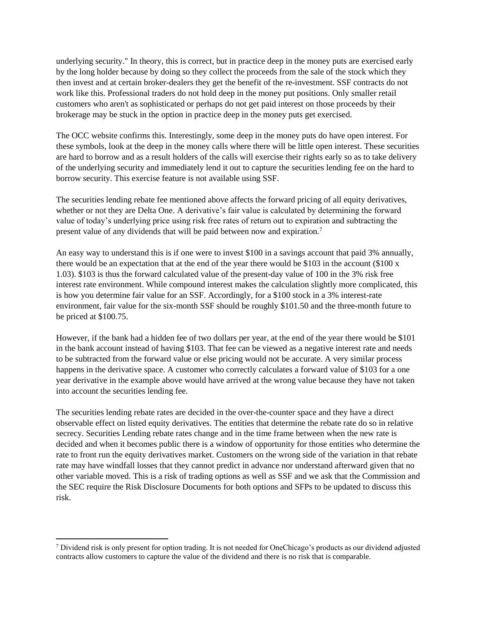underlying security." In theory, this is correct, but in practice deep in the money puts are exercised early by the long holder because by doing so they collect the proceeds from the sale of the stock which they then invest and at certain broker-dealers they get the benefit of the re-investment. SSF contracts do not work like this. Professional traders do not hold deep in the money put positions. Only smaller retail customers who aren't as sophisticated or perhaps do not get paid interest on those proceeds by their brokerage may be stuck in the option in practice deep in the money puts get exercised.

The OCC website confirms this. Interestingly, some deep in the money puts do have open interest. For these symbols, look at the deep in the money calls where there will be little open interest. These securities are hard to borrow and as a result holders of the calls will exercise their rights early so as to take delivery of the underlying security and immediately lend it out to capture the securities lending fee on the hard to borrow security. This exercise feature is not available using SSF.

The securities lending rebate fee mentioned above affects the forward pricing of all equity derivatives, whether or not they are Delta One. A derivative's fair value is calculated by determining the forward value of today's underlying price using risk free rates of return out to expiration and subtracting the present value of any dividends that will be paid between now and expiration.<sup>7</sup>

An easy way to understand this is if one were to invest \$100 in a savings account that paid 3% annually, there would be an expectation that at the end of the year there would be \$103 in the account  $\$100 \text{ x}$ 1.03). \$103 is thus the forward calculated value of the present-day value of 100 in the 3% risk free interest rate environment. While compound interest makes the calculation slightly more complicated, this is how you determine fair value for an SSF. Accordingly, for a \$100 stock in a 3% interest-rate environment, fair value for the six-month SSF should be roughly \$101.50 and the three-month future to be priced at \$100.75.

However, if the bank had a hidden fee of two dollars per year, at the end of the year there would be \$101 in the bank account instead of having \$103. That fee can be viewed as a negative interest rate and needs to be subtracted from the forward value or else pricing would not be accurate. A very similar process happens in the derivative space. A customer who correctly calculates a forward value of \$103 for a one year derivative in the example above would have arrived at the wrong value because they have not taken into account the securities lending fee.

The securities lending rebate rates are decided in the over-the-counter space and they have a direct observable effect on listed equity derivatives. The entities that determine the rebate rate do so in relative secrecy. Securities Lending rebate rates change and in the time frame between when the new rate is decided and when it becomes public there is a window of opportunity for those entities who determine the rate to front run the equity derivatives market. Customers on the wrong side of the variation in that rebate rate may have windfall losses that they cannot predict in advance nor understand afterward given that no other variable moved. This is a risk of trading options as well as SSF and we ask that the Commission and the SEC require the Risk Disclosure Documents for both options and SFPs to be updated to discuss this risk.

 $\overline{a}$ 

<sup>7</sup> Dividend risk is only present for option trading. It is not needed for OneChicago's products as our dividend adjusted contracts allow customers to capture the value of the dividend and there is no risk that is comparable.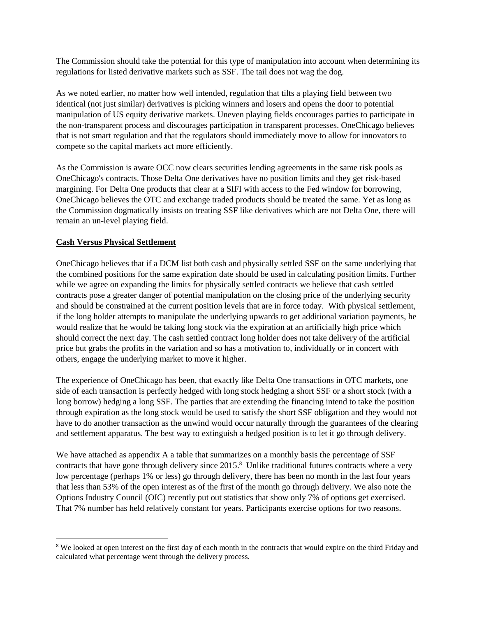The Commission should take the potential for this type of manipulation into account when determining its regulations for listed derivative markets such as SSF. The tail does not wag the dog.

As we noted earlier, no matter how well intended, regulation that tilts a playing field between two identical (not just similar) derivatives is picking winners and losers and opens the door to potential manipulation of US equity derivative markets. Uneven playing fields encourages parties to participate in the non-transparent process and discourages participation in transparent processes. OneChicago believes that is not smart regulation and that the regulators should immediately move to allow for innovators to compete so the capital markets act more efficiently.

As the Commission is aware OCC now clears securities lending agreements in the same risk pools as OneChicago's contracts. Those Delta One derivatives have no position limits and they get risk-based margining. For Delta One products that clear at a SIFI with access to the Fed window for borrowing, OneChicago believes the OTC and exchange traded products should be treated the same. Yet as long as the Commission dogmatically insists on treating SSF like derivatives which are not Delta One, there will remain an un-level playing field.

## **Cash Versus Physical Settlement**

l

OneChicago believes that if a DCM list both cash and physically settled SSF on the same underlying that the combined positions for the same expiration date should be used in calculating position limits. Further while we agree on expanding the limits for physically settled contracts we believe that cash settled contracts pose a greater danger of potential manipulation on the closing price of the underlying security and should be constrained at the current position levels that are in force today. With physical settlement, if the long holder attempts to manipulate the underlying upwards to get additional variation payments, he would realize that he would be taking long stock via the expiration at an artificially high price which should correct the next day. The cash settled contract long holder does not take delivery of the artificial price but grabs the profits in the variation and so has a motivation to, individually or in concert with others, engage the underlying market to move it higher.

The experience of OneChicago has been, that exactly like Delta One transactions in OTC markets, one side of each transaction is perfectly hedged with long stock hedging a short SSF or a short stock (with a long borrow) hedging a long SSF. The parties that are extending the financing intend to take the position through expiration as the long stock would be used to satisfy the short SSF obligation and they would not have to do another transaction as the unwind would occur naturally through the guarantees of the clearing and settlement apparatus. The best way to extinguish a hedged position is to let it go through delivery.

We have attached as appendix A a table that summarizes on a monthly basis the percentage of SSF contracts that have gone through delivery since 2015. <sup>8</sup> Unlike traditional futures contracts where a very low percentage (perhaps 1% or less) go through delivery, there has been no month in the last four years that less than 53% of the open interest as of the first of the month go through delivery. We also note the Options Industry Council (OIC) recently put out statistics that show only 7% of options get exercised. That 7% number has held relatively constant for years. Participants exercise options for two reasons.

<sup>&</sup>lt;sup>8</sup> We looked at open interest on the first day of each month in the contracts that would expire on the third Friday and calculated what percentage went through the delivery process.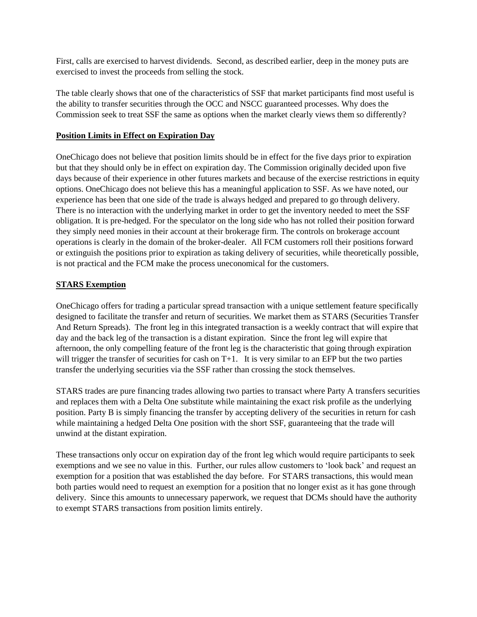First, calls are exercised to harvest dividends. Second, as described earlier, deep in the money puts are exercised to invest the proceeds from selling the stock.

The table clearly shows that one of the characteristics of SSF that market participants find most useful is the ability to transfer securities through the OCC and NSCC guaranteed processes. Why does the Commission seek to treat SSF the same as options when the market clearly views them so differently?

#### **Position Limits in Effect on Expiration Day**

OneChicago does not believe that position limits should be in effect for the five days prior to expiration but that they should only be in effect on expiration day. The Commission originally decided upon five days because of their experience in other futures markets and because of the exercise restrictions in equity options. OneChicago does not believe this has a meaningful application to SSF. As we have noted, our experience has been that one side of the trade is always hedged and prepared to go through delivery. There is no interaction with the underlying market in order to get the inventory needed to meet the SSF obligation. It is pre-hedged. For the speculator on the long side who has not rolled their position forward they simply need monies in their account at their brokerage firm. The controls on brokerage account operations is clearly in the domain of the broker-dealer. All FCM customers roll their positions forward or extinguish the positions prior to expiration as taking delivery of securities, while theoretically possible, is not practical and the FCM make the process uneconomical for the customers.

## **STARS Exemption**

OneChicago offers for trading a particular spread transaction with a unique settlement feature specifically designed to facilitate the transfer and return of securities. We market them as STARS (Securities Transfer And Return Spreads). The front leg in this integrated transaction is a weekly contract that will expire that day and the back leg of the transaction is a distant expiration. Since the front leg will expire that afternoon, the only compelling feature of the front leg is the characteristic that going through expiration will trigger the transfer of securities for cash on  $T+1$ . It is very similar to an EFP but the two parties transfer the underlying securities via the SSF rather than crossing the stock themselves.

STARS trades are pure financing trades allowing two parties to transact where Party A transfers securities and replaces them with a Delta One substitute while maintaining the exact risk profile as the underlying position. Party B is simply financing the transfer by accepting delivery of the securities in return for cash while maintaining a hedged Delta One position with the short SSF, guaranteeing that the trade will unwind at the distant expiration.

These transactions only occur on expiration day of the front leg which would require participants to seek exemptions and we see no value in this. Further, our rules allow customers to 'look back' and request an exemption for a position that was established the day before. For STARS transactions, this would mean both parties would need to request an exemption for a position that no longer exist as it has gone through delivery. Since this amounts to unnecessary paperwork, we request that DCMs should have the authority to exempt STARS transactions from position limits entirely.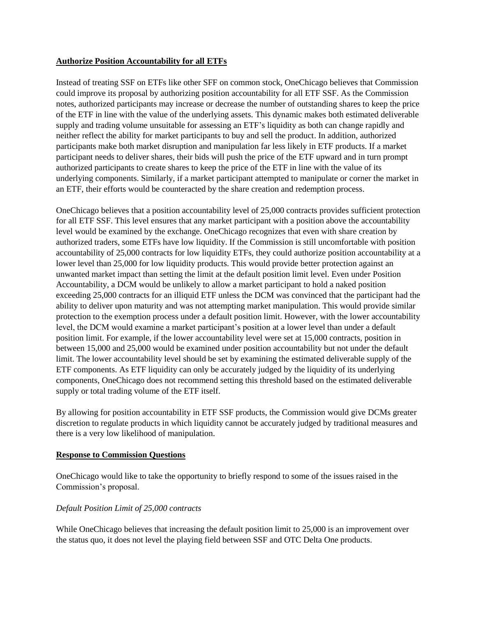#### **Authorize Position Accountability for all ETFs**

Instead of treating SSF on ETFs like other SFF on common stock, OneChicago believes that Commission could improve its proposal by authorizing position accountability for all ETF SSF. As the Commission notes, authorized participants may increase or decrease the number of outstanding shares to keep the price of the ETF in line with the value of the underlying assets. This dynamic makes both estimated deliverable supply and trading volume unsuitable for assessing an ETF's liquidity as both can change rapidly and neither reflect the ability for market participants to buy and sell the product. In addition, authorized participants make both market disruption and manipulation far less likely in ETF products. If a market participant needs to deliver shares, their bids will push the price of the ETF upward and in turn prompt authorized participants to create shares to keep the price of the ETF in line with the value of its underlying components. Similarly, if a market participant attempted to manipulate or corner the market in an ETF, their efforts would be counteracted by the share creation and redemption process.

OneChicago believes that a position accountability level of 25,000 contracts provides sufficient protection for all ETF SSF. This level ensures that any market participant with a position above the accountability level would be examined by the exchange. OneChicago recognizes that even with share creation by authorized traders, some ETFs have low liquidity. If the Commission is still uncomfortable with position accountability of 25,000 contracts for low liquidity ETFs, they could authorize position accountability at a lower level than 25,000 for low liquidity products. This would provide better protection against an unwanted market impact than setting the limit at the default position limit level. Even under Position Accountability, a DCM would be unlikely to allow a market participant to hold a naked position exceeding 25,000 contracts for an illiquid ETF unless the DCM was convinced that the participant had the ability to deliver upon maturity and was not attempting market manipulation. This would provide similar protection to the exemption process under a default position limit. However, with the lower accountability level, the DCM would examine a market participant's position at a lower level than under a default position limit. For example, if the lower accountability level were set at 15,000 contracts, position in between 15,000 and 25,000 would be examined under position accountability but not under the default limit. The lower accountability level should be set by examining the estimated deliverable supply of the ETF components. As ETF liquidity can only be accurately judged by the liquidity of its underlying components, OneChicago does not recommend setting this threshold based on the estimated deliverable supply or total trading volume of the ETF itself.

By allowing for position accountability in ETF SSF products, the Commission would give DCMs greater discretion to regulate products in which liquidity cannot be accurately judged by traditional measures and there is a very low likelihood of manipulation.

## **Response to Commission Questions**

OneChicago would like to take the opportunity to briefly respond to some of the issues raised in the Commission's proposal.

## *Default Position Limit of 25,000 contracts*

While OneChicago believes that increasing the default position limit to 25,000 is an improvement over the status quo, it does not level the playing field between SSF and OTC Delta One products.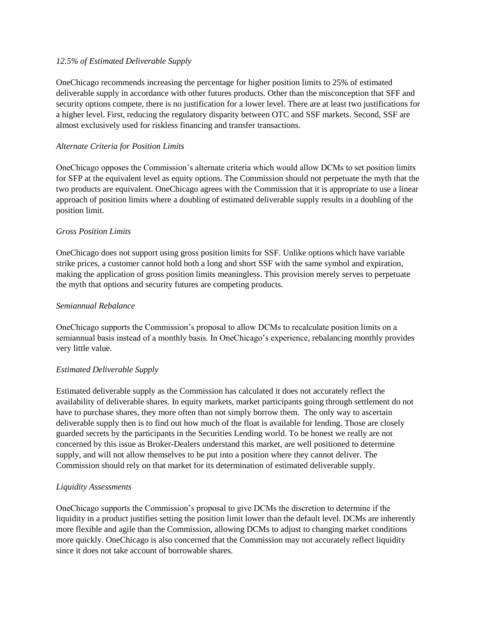#### *12.5% of Estimated Deliverable Supply*

OneChicago recommends increasing the percentage for higher position limits to 25% of estimated deliverable supply in accordance with other futures products. Other than the misconception that SFF and security options compete, there is no justification for a lower level. There are at least two justifications for a higher level. First, reducing the regulatory disparity between OTC and SSF markets. Second, SSF are almost exclusively used for riskless financing and transfer transactions.

#### *Alternate Criteria for Position Limits*

OneChicago opposes the Commission's alternate criteria which would allow DCMs to set position limits for SFP at the equivalent level as equity options. The Commission should not perpetuate the myth that the two products are equivalent. OneChicago agrees with the Commission that it is appropriate to use a linear approach of position limits where a doubling of estimated deliverable supply results in a doubling of the position limit.

#### *Gross Position Limits*

OneChicago does not support using gross position limits for SSF. Unlike options which have variable strike prices, a customer cannot hold both a long and short SSF with the same symbol and expiration, making the application of gross position limits meaningless. This provision merely serves to perpetuate the myth that options and security futures are competing products.

#### *Semiannual Rebalance*

OneChicago supports the Commission's proposal to allow DCMs to recalculate position limits on a semiannual basis instead of a monthly basis. In OneChicago's experience, rebalancing monthly provides very little value.

#### *Estimated Deliverable Supply*

Estimated deliverable supply as the Commission has calculated it does not accurately reflect the availability of deliverable shares. In equity markets, market participants going through settlement do not have to purchase shares, they more often than not simply borrow them. The only way to ascertain deliverable supply then is to find out how much of the float is available for lending. Those are closely guarded secrets by the participants in the Securities Lending world. To be honest we really are not concerned by this issue as Broker-Dealers understand this market, are well positioned to determine supply, and will not allow themselves to be put into a position where they cannot deliver. The Commission should rely on that market for its determination of estimated deliverable supply.

## *Liquidity Assessments*

OneChicago supports the Commission's proposal to give DCMs the discretion to determine if the liquidity in a product justifies setting the position limit lower than the default level. DCMs are inherently more flexible and agile than the Commission, allowing DCMs to adjust to changing market conditions more quickly. OneChicago is also concerned that the Commission may not accurately reflect liquidity since it does not take account of borrowable shares.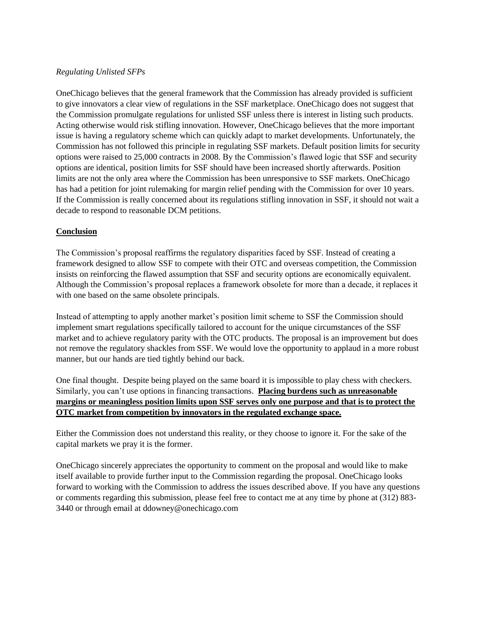#### *Regulating Unlisted SFPs*

OneChicago believes that the general framework that the Commission has already provided is sufficient to give innovators a clear view of regulations in the SSF marketplace. OneChicago does not suggest that the Commission promulgate regulations for unlisted SSF unless there is interest in listing such products. Acting otherwise would risk stifling innovation. However, OneChicago believes that the more important issue is having a regulatory scheme which can quickly adapt to market developments. Unfortunately, the Commission has not followed this principle in regulating SSF markets. Default position limits for security options were raised to 25,000 contracts in 2008. By the Commission's flawed logic that SSF and security options are identical, position limits for SSF should have been increased shortly afterwards. Position limits are not the only area where the Commission has been unresponsive to SSF markets. OneChicago has had a petition for joint rulemaking for margin relief pending with the Commission for over 10 years. If the Commission is really concerned about its regulations stifling innovation in SSF, it should not wait a decade to respond to reasonable DCM petitions.

## **Conclusion**

The Commission's proposal reaffirms the regulatory disparities faced by SSF. Instead of creating a framework designed to allow SSF to compete with their OTC and overseas competition, the Commission insists on reinforcing the flawed assumption that SSF and security options are economically equivalent. Although the Commission's proposal replaces a framework obsolete for more than a decade, it replaces it with one based on the same obsolete principals.

Instead of attempting to apply another market's position limit scheme to SSF the Commission should implement smart regulations specifically tailored to account for the unique circumstances of the SSF market and to achieve regulatory parity with the OTC products. The proposal is an improvement but does not remove the regulatory shackles from SSF. We would love the opportunity to applaud in a more robust manner, but our hands are tied tightly behind our back.

One final thought. Despite being played on the same board it is impossible to play chess with checkers. Similarly, you can't use options in financing transactions. **Placing burdens such as unreasonable margins or meaningless position limits upon SSF serves only one purpose and that is to protect the OTC market from competition by innovators in the regulated exchange space.**

Either the Commission does not understand this reality, or they choose to ignore it. For the sake of the capital markets we pray it is the former.

OneChicago sincerely appreciates the opportunity to comment on the proposal and would like to make itself available to provide further input to the Commission regarding the proposal. OneChicago looks forward to working with the Commission to address the issues described above. If you have any questions or comments regarding this submission, please feel free to contact me at any time by phone at (312) 883- 3440 or through email at ddowney@onechicago.com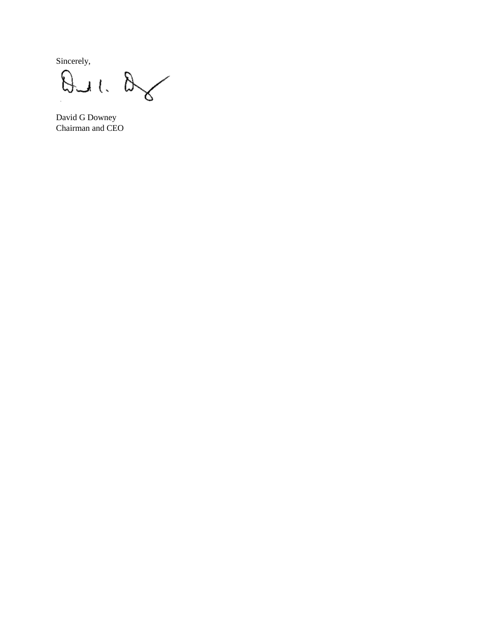Sincerely,

 $\infty$  $\beta$ ul

David G Downey Chairman and CEO